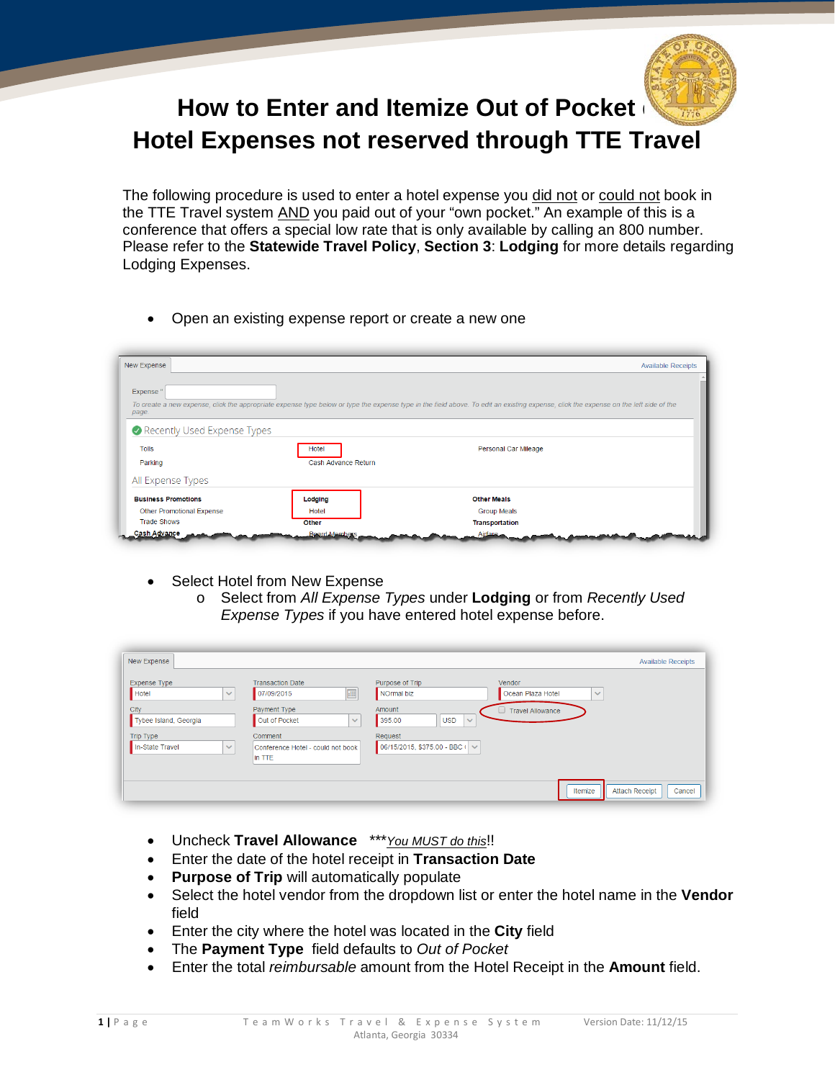

## **How to Enter and Itemize Out of Pocket Hotel Expenses not reserved through TTE Travel**

The following procedure is used to enter a hotel expense you did not or could not book in the TTE Travel system AND you paid out of your "own pocket." An example of this is a conference that offers a special low rate that is only available by calling an 800 number. Please refer to the **Statewide Travel Policy**, **Section 3**: **Lodging** for more details regarding Lodging Expenses.

• Open an existing expense report or create a new one

| New Expense                 |                     | <b>Available Receipts</b>                                                                                                                                                             |
|-----------------------------|---------------------|---------------------------------------------------------------------------------------------------------------------------------------------------------------------------------------|
| Expense <sup>'</sup>        |                     |                                                                                                                                                                                       |
|                             |                     | To create a new expense, click the appropriate expense type below or type the expense type in the field above. To edit an existing expense, click the expense on the left side of the |
| page.                       |                     |                                                                                                                                                                                       |
| Recently Used Expense Types |                     |                                                                                                                                                                                       |
| <b>Tolls</b>                | Hotel               | Personal Car Mileage                                                                                                                                                                  |
| Parking                     | Cash Advance Return |                                                                                                                                                                                       |
| All Expense Types           |                     |                                                                                                                                                                                       |
| <b>Business Promotions</b>  | Lodging             | <b>Other Meals</b>                                                                                                                                                                    |
| Other Promotional Expense   | Hotel               | <b>Group Meals</b>                                                                                                                                                                    |
|                             |                     |                                                                                                                                                                                       |

- Select Hotel from New Expense
	- o Select from *All Expense Types* under **Lodging** or from *Recently Used Expense Types* if you have entered hotel expense before.

| New Expense                                  |                                                        |                                                |                                             | <b>Available Receipts</b>       |
|----------------------------------------------|--------------------------------------------------------|------------------------------------------------|---------------------------------------------|---------------------------------|
| <b>Expense Type</b><br>Hotel<br>$\checkmark$ | <b>Transaction Date</b><br>圃<br>07/09/2015             | Purpose of Trip<br>NOrmal biz                  | Vendor<br>Ocean Plaza Hotel<br>$\checkmark$ |                                 |
| City<br>Tybee Island, Georgia                | Payment Type<br>Out of Pocket<br>$\checkmark$          | Amount<br>395.00<br><b>USD</b><br>$\checkmark$ | <b>Travel Allowance</b>                     |                                 |
| Trip Type<br>In-State Travel<br>$\sim$       | Comment<br>Conference Hotel - could not book<br>in TTE | Request<br>06/15/2015, \$375.00 - BBC (        |                                             |                                 |
|                                              |                                                        |                                                | Itemize                                     | <b>Attach Receipt</b><br>Cancel |

- Uncheck **Travel Allowance** \*\*\**You MUST do this*!!
- Enter the date of the hotel receipt in **Transaction Date**
- **Purpose of Trip** will automatically populate
- Select the hotel vendor from the dropdown list or enter the hotel name in the **Vendor** field
- Enter the city where the hotel was located in the **City** field
- The **Payment Type** field defaults to *Out of Pocket*
- Enter the total *reimbursable* amount from the Hotel Receipt in the **Amount** field.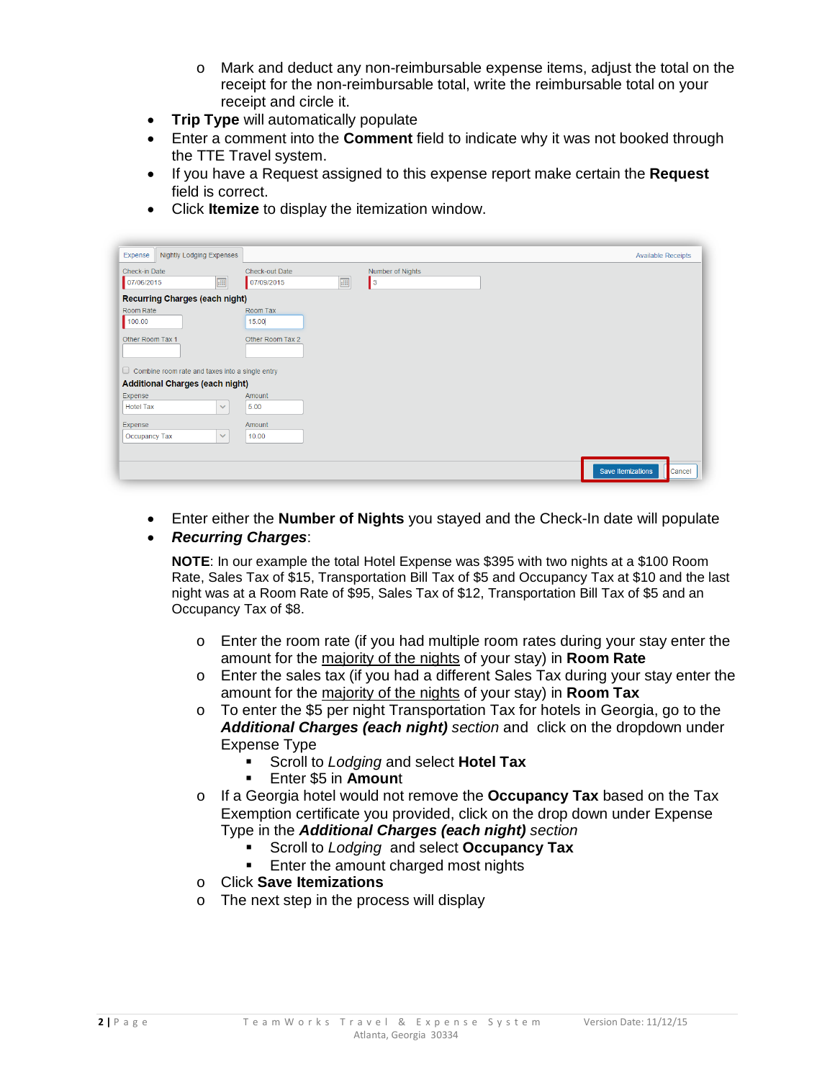- o Mark and deduct any non-reimbursable expense items, adjust the total on the receipt for the non-reimbursable total, write the reimbursable total on your receipt and circle it.
- **Trip Type** will automatically populate
- Enter a comment into the **Comment** field to indicate why it was not booked through the TTE Travel system.
- If you have a Request assigned to this expense report make certain the **Request** field is correct.
- Click **Itemize** to display the itemization window.

| Nightly Lodging Expenses<br>Expense                    |                                    | <b>Available Receipts</b> |
|--------------------------------------------------------|------------------------------------|---------------------------|
| Check-in Date                                          | Check-out Date<br>Number of Nights |                           |
| 曲<br>07/06/2015                                        | 画<br>$\vert$ 3<br>07/09/2015       |                           |
| <b>Recurring Charges (each night)</b>                  |                                    |                           |
| Room Rate                                              | Room Tax                           |                           |
| 100.00                                                 | 15.00                              |                           |
| Other Room Tax 1                                       | Other Room Tax 2                   |                           |
|                                                        |                                    |                           |
| $\Box$ Combine room rate and taxes into a single entry |                                    |                           |
| <b>Additional Charges (each night)</b>                 |                                    |                           |
| Expense                                                | Amount                             |                           |
| <b>Hotel Tax</b><br>$\checkmark$                       | 5.00                               |                           |
| Expense                                                | Amount                             |                           |
| Occupancy Tax<br>$\checkmark$                          | 10.00                              |                           |
|                                                        |                                    |                           |
|                                                        | Save Itemizations                  | Cancel                    |
|                                                        |                                    |                           |

- Enter either the **Number of Nights** you stayed and the Check-In date will populate
- *Recurring Charges*:

**NOTE**: In our example the total Hotel Expense was \$395 with two nights at a \$100 Room Rate, Sales Tax of \$15, Transportation Bill Tax of \$5 and Occupancy Tax at \$10 and the last night was at a Room Rate of \$95, Sales Tax of \$12, Transportation Bill Tax of \$5 and an Occupancy Tax of \$8.

- $\circ$  Enter the room rate (if you had multiple room rates during your stay enter the amount for the majority of the nights of your stay) in **Room Rate**
- o Enter the sales tax (if you had a different Sales Tax during your stay enter the amount for the majority of the nights of your stay) in **Room Tax**
- $\circ$  To enter the \$5 per night Transportation Tax for hotels in Georgia, go to the *Additional Charges (each night) section* and click on the dropdown under Expense Type
	- Scroll to *Lodging* and select **Hotel Tax**
	- Enter \$5 in **Amoun**t
- o If a Georgia hotel would not remove the **Occupancy Tax** based on the Tax Exemption certificate you provided, click on the drop down under Expense Type in the *Additional Charges (each night) section*
	- Scroll to *Lodging* and select **Occupancy Tax**
	- Enter the amount charged most nights
- o Click **Save Itemizations**
- o The next step in the process will display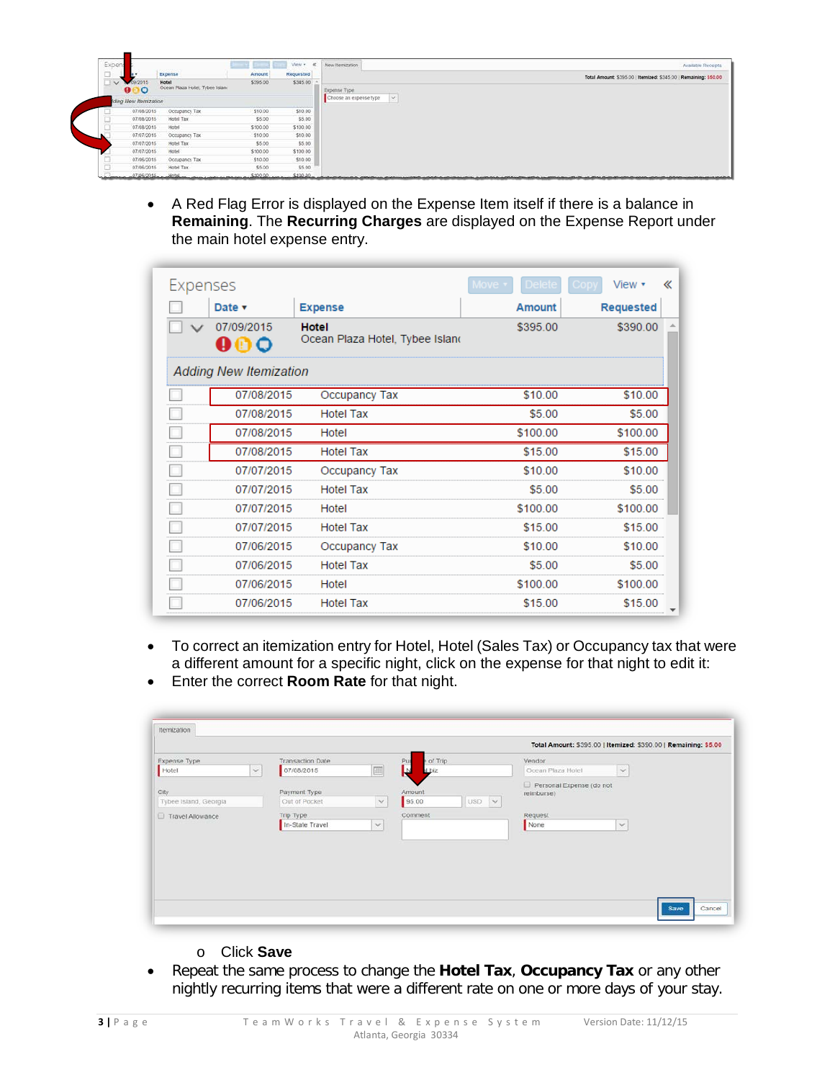| Expens              |                                                           |          | View v 40 | New Itemzation<br>Available Receipts                                                                                    |
|---------------------|-----------------------------------------------------------|----------|-----------|-------------------------------------------------------------------------------------------------------------------------|
| $-$<br>$\sim$       | Expense                                                   | Amount   | Requested | Total Amount: \$395.00   Itemized: \$345.00   Remaining: \$50.00                                                        |
| $\vee$              | Hotel<br>9/2015<br>Ocean Plaza Hotel, Tybee Islani<br>000 | \$395.00 | \$345.00  | Expense Type                                                                                                            |
|                     | Iding New Itemization                                     |          |           | Choose an expense type<br>$\sim$                                                                                        |
|                     | 07/08/2015<br>Occupancy Tax                               | \$10.00  | \$10.00   |                                                                                                                         |
| <b>Senator</b>      | Hotel Tax<br>07/08/2015                                   | \$5.00   | \$5.00    |                                                                                                                         |
| <b>South Avenue</b> | 07/08/2015<br>Hotel                                       | \$100.00 | \$100.00  |                                                                                                                         |
|                     | 07/07/2015<br>Occupancy Tax                               | \$10.00  | \$10.00   |                                                                                                                         |
|                     | Hotel Tax<br>07/07/2015                                   | \$5.00   | \$5.00    |                                                                                                                         |
|                     | 07/07/2015<br>Hotel                                       | \$100.00 | \$100.00  |                                                                                                                         |
|                     | 07/06/2015<br>Occupancy Tax                               | \$10.00  | \$10.00   |                                                                                                                         |
| لننة                | 07/06/2015<br>Hotel Tax                                   | \$5.00   | \$5.00    |                                                                                                                         |
|                     | 07/06/2015. Hotel                                         | \$100.00 | \$100.00  | and a control of the top of a provider and the control of the provider and the control of the control of the control of |

• A Red Flag Error is displayed on the Expense Item itself if there is a balance in **Remaining**. The **Recurring Charges** are displayed on the Expense Report under the main hotel expense entry.

| Expenses |                               |                                                 |               | View <b>v</b>    | « |
|----------|-------------------------------|-------------------------------------------------|---------------|------------------|---|
|          | Date v<br><b>Expense</b>      |                                                 | <b>Amount</b> | <b>Requested</b> |   |
|          | 07/09/2015<br>90 Q            | <b>Hotel</b><br>Ocean Plaza Hotel, Tybee Island | \$395.00      | \$390.00         |   |
|          | <b>Adding New Itemization</b> |                                                 |               |                  |   |
|          | 07/08/2015                    | Occupancy Tax                                   | \$10.00       | \$10.00          |   |
|          | 07/08/2015                    | <b>Hotel Tax</b>                                | \$5.00        | \$5.00           |   |
|          | 07/08/2015                    | Hotel                                           | \$100.00      | \$100.00         |   |
|          | 07/08/2015                    | <b>Hotel Tax</b>                                | \$15.00       | \$15.00          |   |
|          | 07/07/2015                    | Occupancy Tax                                   | \$10.00       | \$10.00          |   |
|          | 07/07/2015                    | <b>Hotel Tax</b>                                | \$5.00        | \$5.00           |   |
|          | 07/07/2015                    | Hotel                                           | \$100.00      | \$100.00         |   |
|          | 07/07/2015                    | <b>Hotel Tax</b>                                | \$15.00       | \$15.00          |   |
|          | 07/06/2015                    | Occupancy Tax                                   | \$10.00       | \$10.00          |   |
|          | 07/06/2015                    | <b>Hotel Tax</b>                                | \$5.00        | \$5.00           |   |
|          | 07/06/2015                    | Hotel                                           | \$100.00      | \$100.00         |   |
|          | 07/06/2015                    | <b>Hotel Tax</b>                                | \$15.00       | \$15.00          |   |

- To correct an itemization entry for Hotel, Hotel (Sales Tax) or Occupancy tax that were a different amount for a specific night, click on the expense for that night to edit it:
- Enter the correct **Room Rate** for that night.

|                       |              |                         |                |                     |                                        | Total Amount: \$395.00   Itemized: \$390.00   Remaining: \$5.00 |
|-----------------------|--------------|-------------------------|----------------|---------------------|----------------------------------------|-----------------------------------------------------------------|
| Expense Type          |              | <b>Transaction Date</b> |                | of Trip<br>Pur      | Vendor                                 |                                                                 |
| Hotel                 | $\checkmark$ | 07/08/2015              | $\blacksquare$ | N<br><b>Sid I</b>   | Ocean Plaza Hotel                      | $\check{~}$                                                     |
| City                  |              | Payment Type            |                | Amount              | Personal Expense (do not<br>reimburse) |                                                                 |
| Tybee Island, Georgia |              | Out of Pocket           | $\checkmark$   | 95.00<br><b>USD</b> | $\sim$                                 |                                                                 |
| Travel Allowance      |              | Trip Type               |                | Comment             | Request                                |                                                                 |
|                       |              | In-State Travel         | $\mathcal{A}$  |                     | None                                   | $\mathcal{L}$                                                   |
|                       |              |                         |                |                     |                                        |                                                                 |
|                       |              |                         |                |                     |                                        |                                                                 |
|                       |              |                         |                |                     |                                        |                                                                 |
|                       |              |                         |                |                     |                                        |                                                                 |
|                       |              |                         |                |                     |                                        |                                                                 |
|                       |              |                         |                |                     |                                        |                                                                 |
|                       |              |                         |                |                     |                                        |                                                                 |

- o Click **Save**
- Repeat the same process to change the **Hotel Tax**, **Occupancy Tax** or any other nightly recurring items that were a different rate on one or more days of your stay.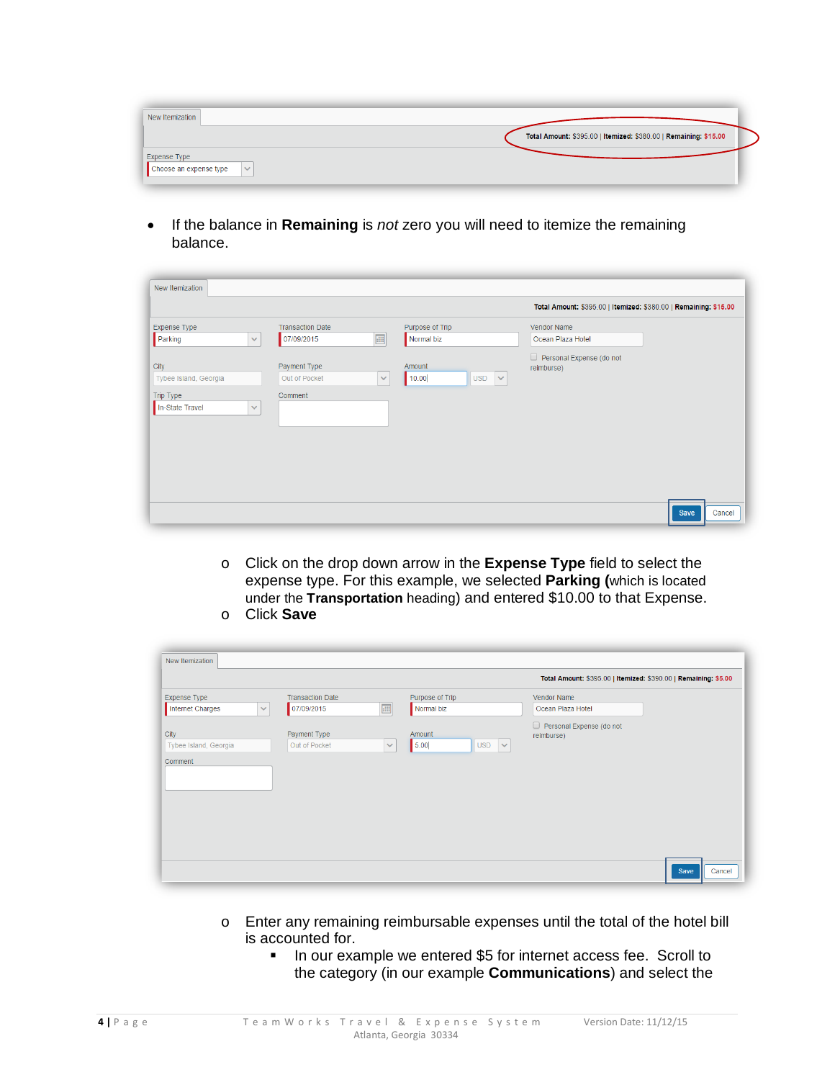| New Itemization                        |                                                                  |
|----------------------------------------|------------------------------------------------------------------|
|                                        | Total Amount: \$395.00   Itemized: \$380.00   Remaining: \$15.00 |
| Expense Type                           |                                                                  |
| Choose an expense type<br>$\checkmark$ |                                                                  |

• If the balance in **Remaining** is *not* zero you will need to itemize the remaining balance.

| New Itemization                              |                                       |                                               |                                                                  |        |
|----------------------------------------------|---------------------------------------|-----------------------------------------------|------------------------------------------------------------------|--------|
|                                              |                                       |                                               | Total Amount: \$395.00   Itemized: \$380.00   Remaining: \$15.00 |        |
| Expense Type<br>Parking<br>$\checkmark$      | <b>Transaction Date</b><br>07/09/2015 | Purpose of Trip<br>画<br>Normal biz            | Vendor Name<br>Ocean Plaza Hotel                                 |        |
| City<br>Tybee Island, Georgia                | Payment Type<br>Out of Pocket         | Amount<br>10.00<br><b>USD</b><br>$\checkmark$ | $\Box$ Personal Expense (do not<br>reimburse)<br>$\checkmark$    |        |
| Trip Type<br>In-State Travel<br>$\checkmark$ | Comment                               |                                               |                                                                  |        |
|                                              |                                       |                                               |                                                                  |        |
|                                              |                                       |                                               |                                                                  |        |
|                                              |                                       |                                               | Save                                                             | Cancel |

o Click on the drop down arrow in the **Expense Type** field to select the expense type. For this example, we selected **Parking (**which is located under the **Transportation** heading) and entered \$10.00 to that Expense. o Click **Save**

| New Itemization                         |                                                       |                |                                              |                                                                 |                |
|-----------------------------------------|-------------------------------------------------------|----------------|----------------------------------------------|-----------------------------------------------------------------|----------------|
|                                         |                                                       |                |                                              | Total Amount: \$395.00   Itemized: \$390.00   Remaining: \$5.00 |                |
| <b>Expense Type</b><br>Internet Charges | <b>Transaction Date</b><br>07/09/2015<br>$\checkmark$ | $\blacksquare$ | Purpose of Trip<br>Normal biz                | Vendor Name<br>Ocean Plaza Hotel                                |                |
| City<br>Tybee Island, Georgia           | Payment Type<br>Out of Pocket                         | $\checkmark$   | Amount<br>$\checkmark$<br>5.00<br><b>USD</b> | Personal Expense (do not<br>reimburse)                          |                |
| Comment                                 |                                                       |                |                                              |                                                                 |                |
|                                         |                                                       |                |                                              |                                                                 |                |
|                                         |                                                       |                |                                              |                                                                 | Save<br>Cancel |

- o Enter any remaining reimbursable expenses until the total of the hotel bill is accounted for.
	- **If** In our example we entered \$5 for internet access fee. Scroll to the category (in our example **Communications**) and select the